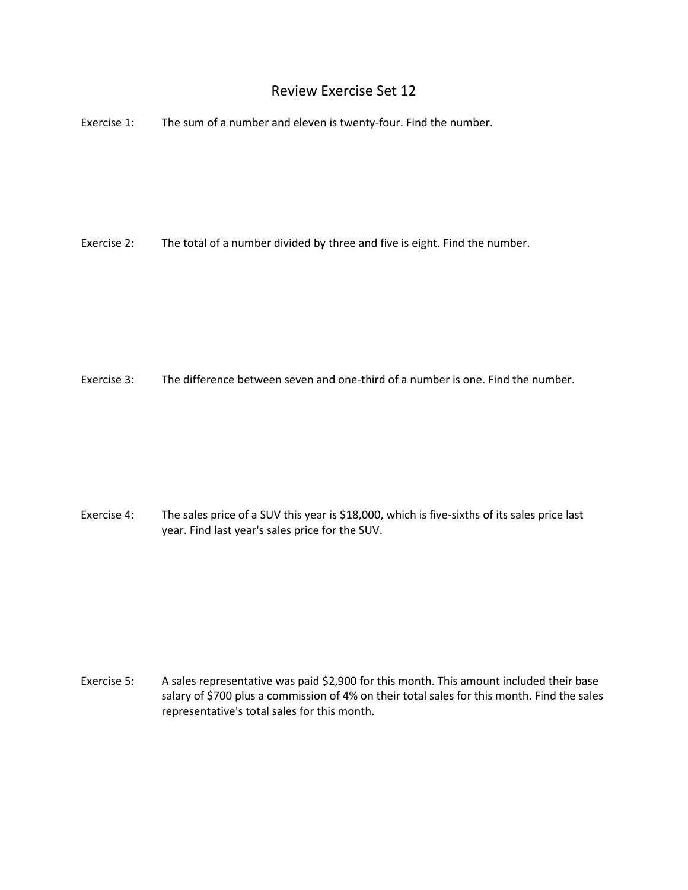## Review Exercise Set 12

Exercise 1: The sum of a number and eleven is twenty-four. Find the number.

Exercise 2: The total of a number divided by three and five is eight. Find the number.

Exercise 3: The difference between seven and one-third of a number is one. Find the number.

Exercise 4: The sales price of a SUV this year is \$18,000, which is five-sixths of its sales price last year. Find last year's sales price for the SUV.

Exercise 5: A sales representative was paid \$2,900 for this month. This amount included their base salary of \$700 plus a commission of 4% on their total sales for this month. Find the sales representative's total sales for this month.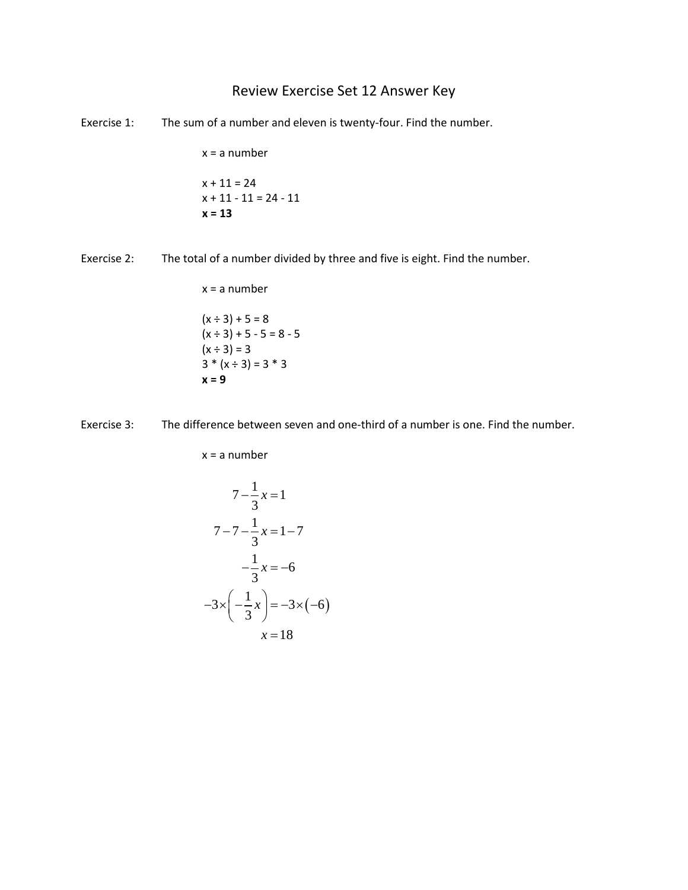## Review Exercise Set 12 Answer Key

Exercise 1: The sum of a number and eleven is twenty-four. Find the number.

x = a number  $x + 11 = 24$  $x + 11 - 11 = 24 - 11$ **x = 13**

Exercise 2: The total of a number divided by three and five is eight. Find the number.

 $x = a$  number  $(x \div 3) + 5 = 8$  $(x \div 3) + 5 - 5 = 8 - 5$  $(x \div 3) = 3$  $3 * (x ÷ 3) = 3 * 3$ **x = 9**

Exercise 3: The difference between seven and one-third of a number is one. Find the number.

x = a number

$$
7 - \frac{1}{3}x = 1
$$
  

$$
7 - 7 - \frac{1}{3}x = 1 - 7
$$
  

$$
-\frac{1}{3}x = -6
$$
  

$$
-3 \times \left(-\frac{1}{3}x\right) = -3 \times \left(-6\right)
$$
  

$$
x = 18
$$